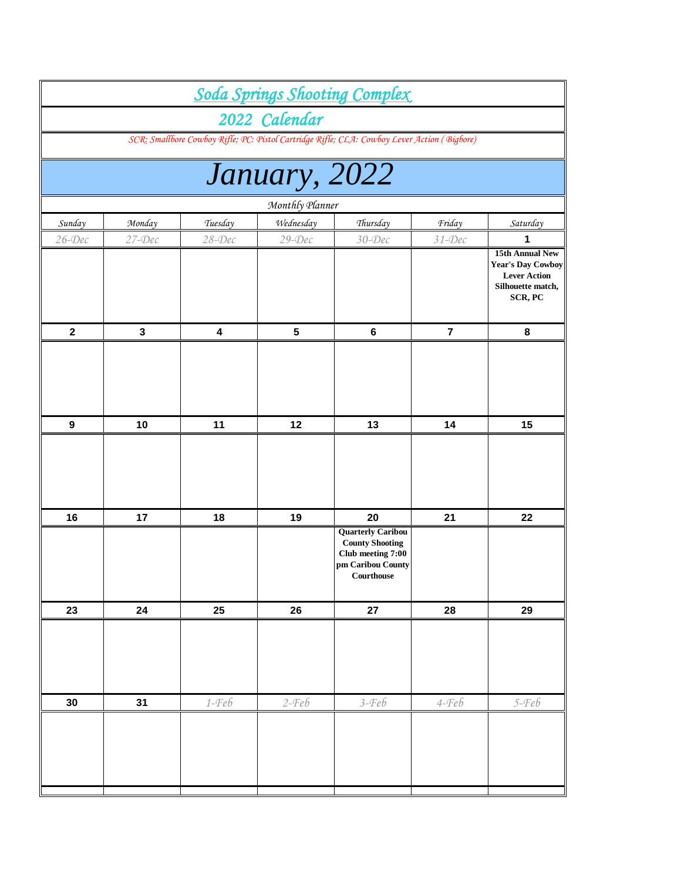|                  |             |            |                 | <b>Soda Springs Shooting Complex</b>                                                                       |                         |                                                                                                           |
|------------------|-------------|------------|-----------------|------------------------------------------------------------------------------------------------------------|-------------------------|-----------------------------------------------------------------------------------------------------------|
|                  |             |            | 2022 Calendar   |                                                                                                            |                         |                                                                                                           |
|                  |             |            |                 | SCR: Smallbore Cowboy Rifle; PC: Pistol Cartridge Rifle; CLA: Cowboy Lever Action (Bigbore)                |                         |                                                                                                           |
|                  |             |            |                 |                                                                                                            |                         |                                                                                                           |
|                  |             |            | January, 2022   |                                                                                                            |                         |                                                                                                           |
|                  |             |            | Monthly Planner |                                                                                                            |                         |                                                                                                           |
| Sunday           | Monday      | Tuesday    | Wednesday       | Thursday                                                                                                   | Friday                  | Saturday                                                                                                  |
| $26$ -Dec        | $27$ -Dec   | $28 - Dec$ | $29$ -Dec       | $30 - Dec$                                                                                                 | $31 - Dec$              | 1                                                                                                         |
|                  |             |            |                 |                                                                                                            |                         | <b>15th Annual New</b><br><b>Year's Day Cowboy</b><br><b>Lever Action</b><br>Silhouette match,<br>SCR, PC |
| $\boldsymbol{2}$ | $\mathbf 3$ | 4          | 5               | $\bf 6$                                                                                                    | $\overline{\mathbf{7}}$ | 8                                                                                                         |
|                  |             |            |                 |                                                                                                            |                         |                                                                                                           |
| $\boldsymbol{9}$ | 10          | 11         | 12              | 13                                                                                                         | 14                      | 15                                                                                                        |
|                  |             |            |                 |                                                                                                            |                         |                                                                                                           |
| 16               | 17          | 18         | 19              | 20                                                                                                         | 21                      | 22                                                                                                        |
|                  |             |            |                 | <b>Quarterly Caribou</b><br><b>County Shooting</b><br>Club meeting 7:00<br>pm Caribou County<br>Courthouse |                         |                                                                                                           |
| 23               | 24          | 25         | 26              | 27                                                                                                         | 28                      | 29                                                                                                        |
|                  |             |            |                 |                                                                                                            |                         |                                                                                                           |
| 30               | 31          | $1 - Feb$  | $2-Feb$         | $3 - Feb$                                                                                                  | $4 - Feb$               | $5 - Feb$                                                                                                 |
|                  |             |            |                 |                                                                                                            |                         |                                                                                                           |
|                  |             |            |                 |                                                                                                            |                         |                                                                                                           |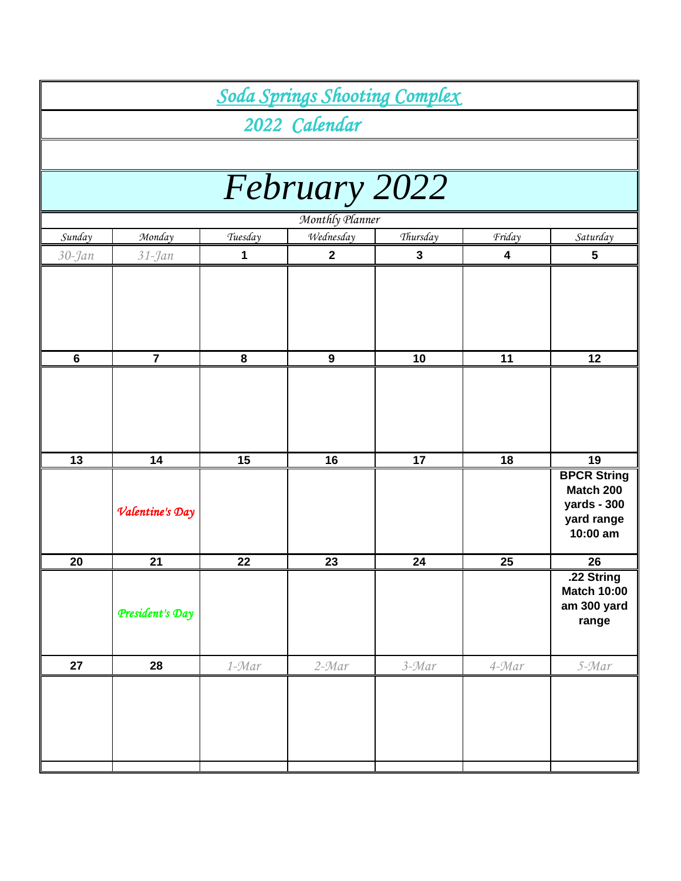|                 |                 |         |                  | <b>Soda Springs Shooting Complex</b> |           |                                                                          |  |  |
|-----------------|-----------------|---------|------------------|--------------------------------------|-----------|--------------------------------------------------------------------------|--|--|
|                 |                 |         | 2022 Calendar    |                                      |           |                                                                          |  |  |
|                 |                 |         |                  |                                      |           |                                                                          |  |  |
|                 |                 |         | February 2022    |                                      |           |                                                                          |  |  |
|                 |                 |         | Monthly Planner  |                                      |           |                                                                          |  |  |
| Sunday          | Monday          | Tuesday | Wednesday        | Thursday                             | Friday    | Saturday                                                                 |  |  |
| $30 - Jan$      | $31 - Jan$      | 1       | $\boldsymbol{2}$ | $\mathbf 3$                          | 4         | 5                                                                        |  |  |
|                 |                 |         |                  |                                      |           |                                                                          |  |  |
| $6\phantom{1}6$ | $\overline{7}$  | 8       | $\boldsymbol{9}$ | 10                                   | 11        | 12                                                                       |  |  |
|                 |                 |         |                  |                                      |           |                                                                          |  |  |
| 13              | 14              | 15      | 16               | 17                                   | 18        | 19                                                                       |  |  |
|                 | Valentine's Day |         |                  |                                      |           | <b>BPCR String</b><br>Match 200<br>yards - 300<br>yard range<br>10:00 am |  |  |
| 20              | 21              | 22      | 23               | 24                                   | 25        | 26                                                                       |  |  |
|                 | President's Day |         |                  |                                      |           | .22 String<br><b>Match 10:00</b><br>am 300 yard<br>range                 |  |  |
| 27              | 28              | 1-Mar   | $2 - Mar$        | $3 - Mar$                            | $4 - Mar$ | 5-Mar                                                                    |  |  |
|                 |                 |         |                  |                                      |           |                                                                          |  |  |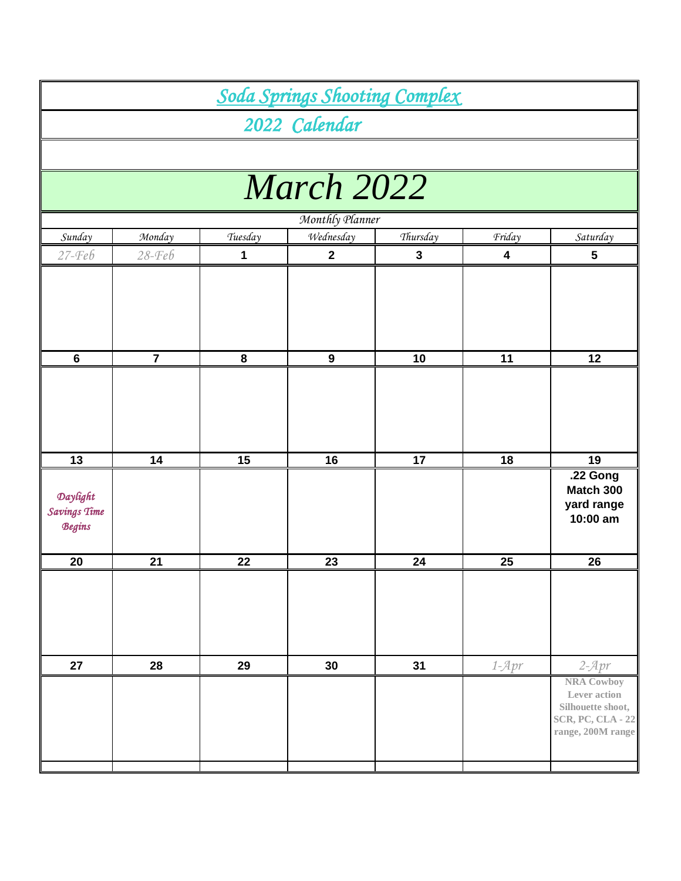|                                           |                |         | Soda Springs Shooting Complex |                 |                         |                                                                                                         |
|-------------------------------------------|----------------|---------|-------------------------------|-----------------|-------------------------|---------------------------------------------------------------------------------------------------------|
|                                           |                |         | 2022 Calendar                 |                 |                         |                                                                                                         |
|                                           |                |         |                               |                 |                         |                                                                                                         |
|                                           |                |         | March 2022                    |                 |                         |                                                                                                         |
|                                           |                |         |                               |                 |                         |                                                                                                         |
|                                           |                |         | Monthly Planner               |                 |                         |                                                                                                         |
| Sunday                                    | Monday         | Tuesday | Wednesday                     | Thursday        | Friday                  | Saturday                                                                                                |
| $27 - Feb$                                | $28 - Feb$     | 1       | $\mathbf{2}$                  | 3               | $\overline{\mathbf{4}}$ | 5                                                                                                       |
|                                           |                |         |                               |                 |                         |                                                                                                         |
| $6\phantom{1}$                            | $\overline{7}$ | 8       | $\boldsymbol{9}$              | 10              | 11                      | 12                                                                                                      |
|                                           |                |         |                               |                 |                         |                                                                                                         |
| 13                                        | 14             | 15      | 16                            | $\overline{17}$ | 18                      | 19                                                                                                      |
| Daylight<br>Savings Time<br><b>Begins</b> |                |         |                               |                 |                         | .22 Gong<br>Match 300<br>yard range<br>10:00 am                                                         |
| 20                                        | 21             | 22      | 23                            | 24              | 25                      | 26                                                                                                      |
|                                           |                |         |                               |                 |                         |                                                                                                         |
| 27                                        | 28             | 29      | 30                            | 31              | $1 - Apr$               | $2 - Apr$                                                                                               |
|                                           |                |         |                               |                 |                         | <b>NRA Cowboy</b><br>Lever action<br>Silhouette shoot,<br><b>SCR, PC, CLA - 22</b><br>range, 200M range |
|                                           |                |         |                               |                 |                         |                                                                                                         |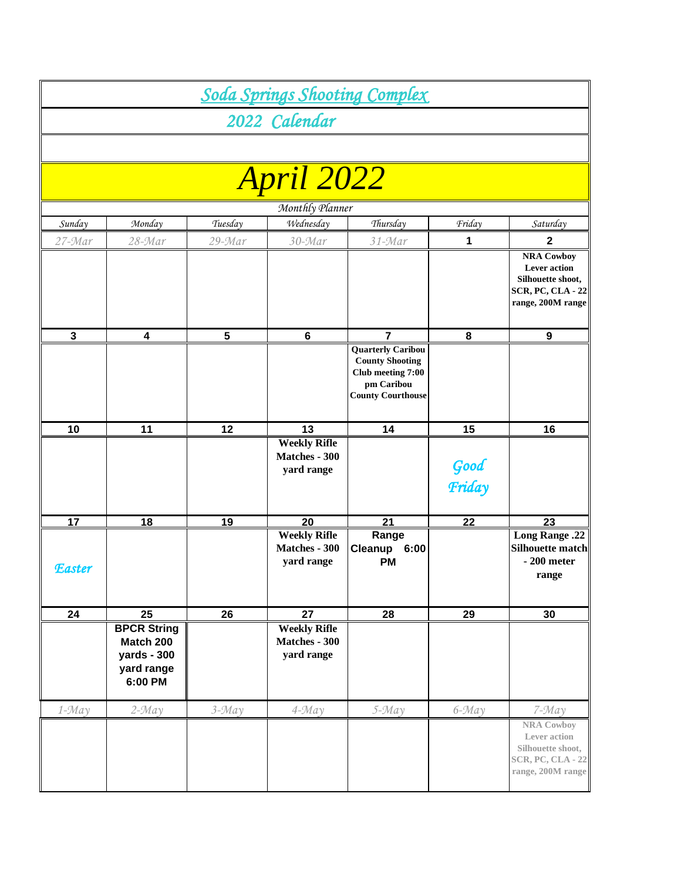|               |                                                                         |                |                                                    | Soda Springs Shooting Complex                                                                                     |                |                                                                                                                                |
|---------------|-------------------------------------------------------------------------|----------------|----------------------------------------------------|-------------------------------------------------------------------------------------------------------------------|----------------|--------------------------------------------------------------------------------------------------------------------------------|
|               |                                                                         |                | 2022 Calendar                                      |                                                                                                                   |                |                                                                                                                                |
|               |                                                                         |                |                                                    |                                                                                                                   |                |                                                                                                                                |
|               |                                                                         |                | <b>April 2022</b>                                  |                                                                                                                   |                |                                                                                                                                |
|               |                                                                         |                | Monthly Planner                                    |                                                                                                                   |                |                                                                                                                                |
| Sunday        | Monday                                                                  | Tuesday        | Wednesday                                          | Thursday                                                                                                          | Friday         | Saturday                                                                                                                       |
| 27-Mar        | $28 - Mar$                                                              | 29-Mar         | $30 - Mar$                                         | $31 - Mar$                                                                                                        | 1              | $\mathbf{2}$<br><b>NRA Cowboy</b><br><b>Lever</b> action<br>Silhouette shoot,<br><b>SCR, PC, CLA - 22</b><br>range, 200M range |
| $\mathbf 3$   | 4                                                                       | $5\phantom{a}$ | $\bf 6$                                            | 7                                                                                                                 | 8              | $\boldsymbol{9}$                                                                                                               |
|               |                                                                         |                |                                                    | <b>Quarterly Caribou</b><br><b>County Shooting</b><br>Club meeting 7:00<br>pm Caribou<br><b>County Courthouse</b> |                |                                                                                                                                |
| 10            | 11                                                                      | 12             | 13                                                 | 14                                                                                                                | 15             | 16                                                                                                                             |
|               |                                                                         |                | <b>Weekly Rifle</b><br>Matches - 300<br>yard range |                                                                                                                   | Good<br>Friday |                                                                                                                                |
| 17            | 18                                                                      | <u>19</u>      | 20                                                 | 21                                                                                                                | 22             | 23                                                                                                                             |
| <b>Easter</b> |                                                                         |                | <b>Weekly Rifle</b><br>Matches - 300<br>yard range | Range<br>Cleanup<br>6:00<br><b>PM</b>                                                                             |                | <b>Long Range .22</b><br><b>Silhouette match</b><br>$-200$ meter<br>range                                                      |
| 24            | 25                                                                      | 26             | 27                                                 | 28                                                                                                                | 29             | 30                                                                                                                             |
|               | <b>BPCR String</b><br>Match 200<br>yards - 300<br>yard range<br>6:00 PM |                | <b>Weekly Rifle</b><br>Matches - 300<br>yard range |                                                                                                                   |                |                                                                                                                                |
| $1 - May$     | $2 - May$                                                               | $3 - May$      | $4 - May$                                          | $5 - May$                                                                                                         | $6 - May$      | $7 - May$                                                                                                                      |
|               |                                                                         |                |                                                    |                                                                                                                   |                | <b>NRA Cowboy</b><br>Lever action<br>Silhouette shoot,<br><b>SCR, PC, CLA - 22</b><br>range, 200M range                        |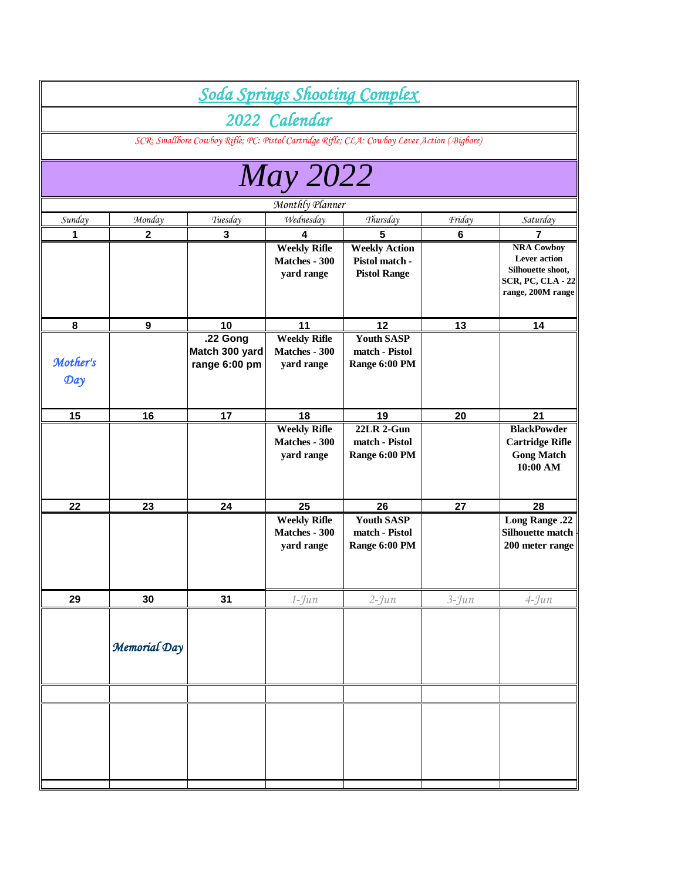|                 |              |                                                                                             |                                                    | Soda Springs Shooting Complex                                 |           |                                                                                                                |
|-----------------|--------------|---------------------------------------------------------------------------------------------|----------------------------------------------------|---------------------------------------------------------------|-----------|----------------------------------------------------------------------------------------------------------------|
|                 |              |                                                                                             | 2022 Calendar                                      |                                                               |           |                                                                                                                |
|                 |              | SCR: Smallbore Cowboy Rifle; PC: Pistol Cartridge Rifle; CLA: Cowboy Lever Action (Bigbore) |                                                    |                                                               |           |                                                                                                                |
|                 |              |                                                                                             |                                                    |                                                               |           |                                                                                                                |
|                 |              |                                                                                             | <b>May 2022</b>                                    |                                                               |           |                                                                                                                |
|                 |              |                                                                                             | Monthly Planner                                    |                                                               |           |                                                                                                                |
| Sunday          | Monday       | Tuesday                                                                                     | Wednesday                                          | Thursday                                                      | Friday    | Saturday                                                                                                       |
| 1               | 2            | 3                                                                                           | 4                                                  | 5                                                             | 6         |                                                                                                                |
|                 |              |                                                                                             | <b>Weekly Rifle</b><br>Matches - 300<br>yard range | <b>Weekly Action</b><br>Pistol match -<br><b>Pistol Range</b> |           | <b>NRA Cowboy</b><br><b>Lever</b> action<br>Silhouette shoot,<br><b>SCR, PC, CLA - 22</b><br>range, 200M range |
| 8               | 9            | 10                                                                                          | 11                                                 | 12                                                            | 13        | 14                                                                                                             |
| Mother's<br>Day |              | .22 Gong<br>Match 300 yard<br>range 6:00 pm                                                 | <b>Weekly Rifle</b><br>Matches - 300<br>yard range | <b>Youth SASP</b><br>match - Pistol<br>Range 6:00 PM          |           |                                                                                                                |
| 15              | 16           | 17                                                                                          | 18                                                 | 19                                                            | 20        | 21                                                                                                             |
|                 |              |                                                                                             | <b>Weekly Rifle</b><br>Matches - 300<br>yard range | <b>22LR 2-Gun</b><br>match - Pistol<br>Range 6:00 PM          |           | <b>BlackPowder</b><br><b>Cartridge Rifle</b><br><b>Gong Match</b><br>10:00 AM                                  |
| 22              | 23           | 24                                                                                          | 25                                                 | 26                                                            | 27        | 28                                                                                                             |
|                 |              |                                                                                             | <b>Weekly Rifle</b><br>Matches - 300<br>yard range | <b>Youth SASP</b><br>match - Pistol<br>Range 6:00 PM          |           | <b>Long Range .22</b><br>Silhouette match<br>200 meter range                                                   |
| 29              | 30           | 31                                                                                          | $1$ -Jun                                           | $2 - Jun$                                                     | $3 - Jun$ | $4 - Jun$                                                                                                      |
|                 | Memorial Day |                                                                                             |                                                    |                                                               |           |                                                                                                                |
|                 |              |                                                                                             |                                                    |                                                               |           |                                                                                                                |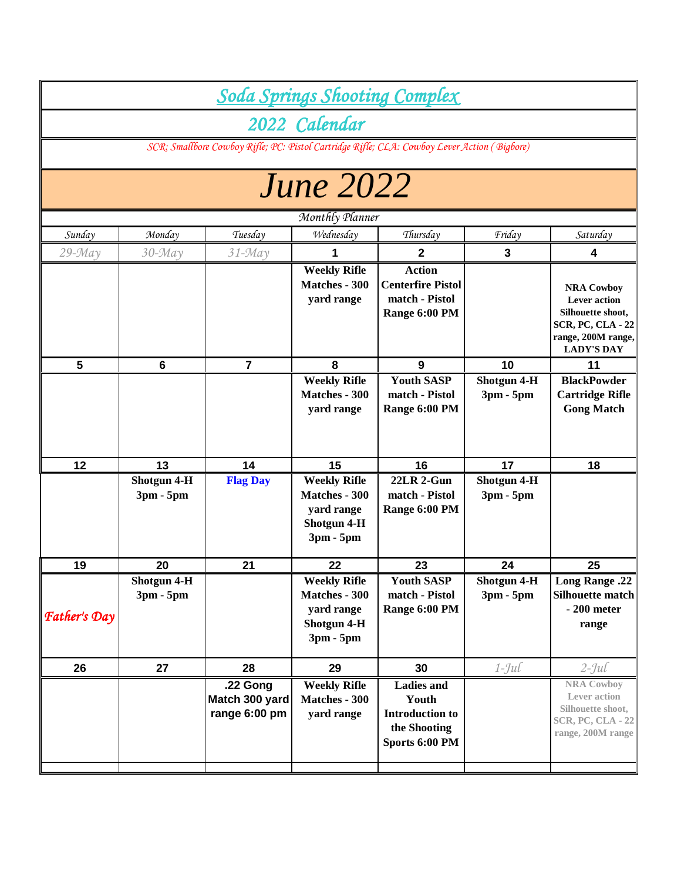|                     |                            |                                             |                                                                                         | <b>Soda Springs Shooting Complex</b>                                                        |                            |                                                                                                                                      |
|---------------------|----------------------------|---------------------------------------------|-----------------------------------------------------------------------------------------|---------------------------------------------------------------------------------------------|----------------------------|--------------------------------------------------------------------------------------------------------------------------------------|
|                     |                            |                                             | 2022 Calendar                                                                           |                                                                                             |                            |                                                                                                                                      |
|                     |                            |                                             |                                                                                         | SCR: Smallbore Cowboy Rifle; PC: Pistol Cartridge Rifle; CLA: Cowboy Lever Action (Bigbore) |                            |                                                                                                                                      |
|                     |                            |                                             | <b>June 2022</b>                                                                        |                                                                                             |                            |                                                                                                                                      |
|                     |                            |                                             | Monthly Planner                                                                         |                                                                                             |                            |                                                                                                                                      |
| Sunday              | Monday                     | Tuesday                                     | Wednesday                                                                               | Thursday                                                                                    | Friday                     | Saturday                                                                                                                             |
| $29 - May$          | $30 - May$                 | $31 - May$                                  |                                                                                         | 2                                                                                           | $\mathbf{3}$               | 4                                                                                                                                    |
|                     |                            |                                             | <b>Weekly Rifle</b><br>Matches - 300<br>yard range                                      | <b>Action</b><br><b>Centerfire Pistol</b><br>match - Pistol<br>Range 6:00 PM                |                            | <b>NRA Cowboy</b><br><b>Lever</b> action<br>Silhouette shoot,<br><b>SCR, PC, CLA - 22</b><br>range, 200M range,<br><b>LADY'S DAY</b> |
| $5\phantom{1}$      | $6\phantom{1}6$            | $\overline{\mathbf{r}}$                     | 8                                                                                       | 9                                                                                           | 10                         | 11                                                                                                                                   |
|                     |                            |                                             | <b>Weekly Rifle</b><br><b>Matches - 300</b><br>yard range                               | <b>Youth SASP</b><br>match - Pistol<br>Range 6:00 PM                                        | Shotgun 4-H<br>3pm - 5pm   | <b>BlackPowder</b><br><b>Cartridge Rifle</b><br><b>Gong Match</b>                                                                    |
| 12                  | 13                         | 14                                          | 15                                                                                      | 16                                                                                          | 17                         | 18                                                                                                                                   |
|                     | Shotgun 4-H<br>$3pm - 5pm$ | <b>Flag Day</b>                             | <b>Weekly Rifle</b><br><b>Matches - 300</b><br>yard range<br>Shotgun 4-H<br>$3pm - 5pm$ | <b>22LR 2-Gun</b><br>match - Pistol<br>Range 6:00 PM                                        | Shotgun 4-H<br>3pm - 5pm   |                                                                                                                                      |
| 19                  | ${\bf 20}$                 | 21                                          | 22                                                                                      | 23                                                                                          | 24                         | 25                                                                                                                                   |
| <b>Father's Day</b> | Shotgun 4-H<br>$3pm - 5pm$ |                                             | <b>Weekly Rifle</b><br>Matches - 300<br>yard range<br>Shotgun 4-H<br>$3pm - 5pm$        | <b>Youth SASP</b><br>match - Pistol<br>Range 6:00 PM                                        | Shotgun 4-H<br>$3pm - 5pm$ | <b>Long Range .22</b><br><b>Silhouette match</b><br>$-200$ meter<br>range                                                            |
| 26                  | 27                         | 28                                          | 29                                                                                      | 30                                                                                          | $1$ -Jul                   | $2$ -Jul                                                                                                                             |
|                     |                            | .22 Gong<br>Match 300 yard<br>range 6:00 pm | <b>Weekly Rifle</b><br><b>Matches - 300</b><br>yard range                               | <b>Ladies</b> and<br>Youth<br><b>Introduction to</b><br>the Shooting<br>Sports 6:00 PM      |                            | <b>NRA Cowboy</b><br>Lever action<br>Silhouette shoot,<br><b>SCR, PC, CLA - 22</b><br>range, 200M range                              |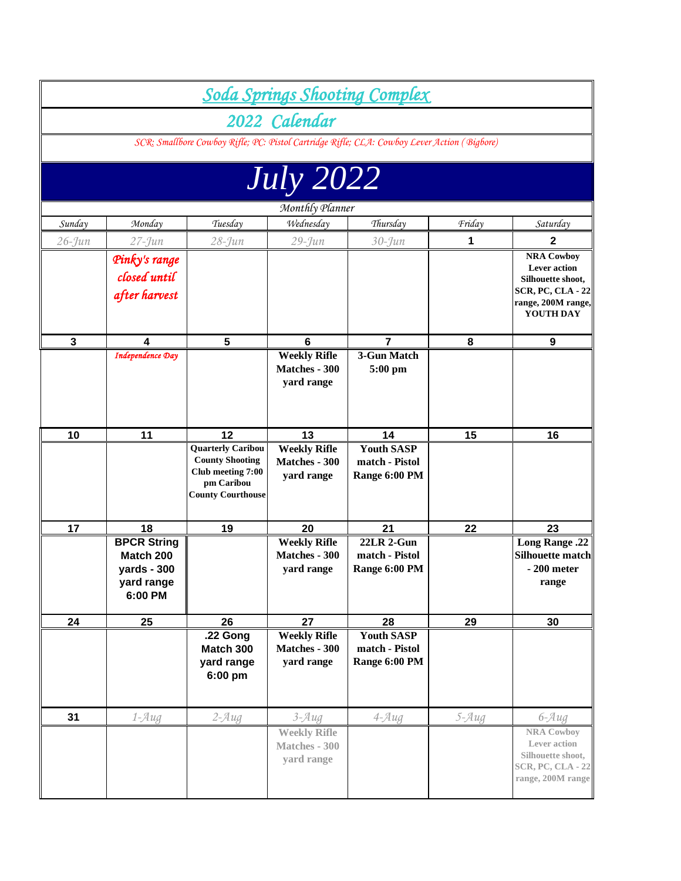|             |                                                                                  |                                                                                                                   |                                                           | <b>Soda Springs Shooting Complex</b>                 |           |                                                                                                                              |
|-------------|----------------------------------------------------------------------------------|-------------------------------------------------------------------------------------------------------------------|-----------------------------------------------------------|------------------------------------------------------|-----------|------------------------------------------------------------------------------------------------------------------------------|
|             |                                                                                  |                                                                                                                   | 2022 Calendar                                             |                                                      |           |                                                                                                                              |
|             |                                                                                  | SCR: Smallbore Cowboy Rifle; PC: Pistol Cartridge Rifle; CLA: Cowboy Lever Action (Bigbore)                       |                                                           |                                                      |           |                                                                                                                              |
|             |                                                                                  |                                                                                                                   |                                                           |                                                      |           |                                                                                                                              |
|             |                                                                                  |                                                                                                                   | <b>July 2022</b>                                          |                                                      |           |                                                                                                                              |
|             |                                                                                  |                                                                                                                   | Monthly Planner                                           |                                                      |           |                                                                                                                              |
| Sunday      | Monday                                                                           | Tuesday                                                                                                           | Wednesday                                                 | Thursday                                             | Friday    | Saturday                                                                                                                     |
| $26$ -Jun   | $27 - Jun$                                                                       | $28 - Jun$                                                                                                        | $29 - Jun$                                                | $30 - Jun$                                           | 1         | $\mathbf{2}$                                                                                                                 |
|             | Pinky's range<br>closed until<br>after harvest                                   |                                                                                                                   |                                                           |                                                      |           | <b>NRA Cowboy</b><br><b>Lever</b> action<br>Silhouette shoot,<br><b>SCR, PC, CLA - 22</b><br>range, 200M range,<br>YOUTH DAY |
| $\mathbf 3$ | 4                                                                                | 5                                                                                                                 | 6                                                         | 7                                                    | 8         | 9                                                                                                                            |
|             | <b>Independence Day</b>                                                          |                                                                                                                   | <b>Weekly Rifle</b><br>Matches - 300<br>yard range        | 3-Gun Match<br>5:00 pm                               |           |                                                                                                                              |
| 10          | 11                                                                               | 12                                                                                                                | 13                                                        | 14                                                   | 15        | 16                                                                                                                           |
|             |                                                                                  | <b>Quarterly Caribou</b><br><b>County Shooting</b><br>Club meeting 7:00<br>pm Caribou<br><b>County Courthouse</b> | <b>Weekly Rifle</b><br>Matches - 300<br>yard range        | <b>Youth SASP</b><br>match - Pistol<br>Range 6:00 PM |           |                                                                                                                              |
| 17          | 18                                                                               | 19                                                                                                                | 20                                                        | 21                                                   | 22        | 23                                                                                                                           |
|             | <b>BPCR String</b><br>Match 200<br>$\text{yards} - 300$<br>yard range<br>6:00 PM |                                                                                                                   | <b>Weekly Rifle</b><br><b>Matches - 300</b><br>yard range | <b>22LR 2-Gun</b><br>match - Pistol<br>Range 6:00 PM |           | <b>Long Range .22</b><br>Silhouette match<br>$-200$ meter<br>range                                                           |
| 24          | 25                                                                               | 26                                                                                                                | 27                                                        | 28                                                   | 29        | 30                                                                                                                           |
|             |                                                                                  | .22 Gong<br>Match 300<br>yard range<br>6:00 pm                                                                    | <b>Weekly Rifle</b><br>Matches - 300<br>yard range        | <b>Youth SASP</b><br>match - Pistol<br>Range 6:00 PM |           |                                                                                                                              |
| 31          | $1 - Aug$                                                                        | $2 - Aug$                                                                                                         | $3 - Aug$                                                 | $4 - Aug$                                            | $5 - Aug$ | $6 - Aug$                                                                                                                    |
|             |                                                                                  |                                                                                                                   | <b>Weekly Rifle</b><br>Matches - 300<br>yard range        |                                                      |           | <b>NRA Cowboy</b><br>Lever action<br>Silhouette shoot,<br><b>SCR, PC, CLA - 22</b><br>range, 200M range                      |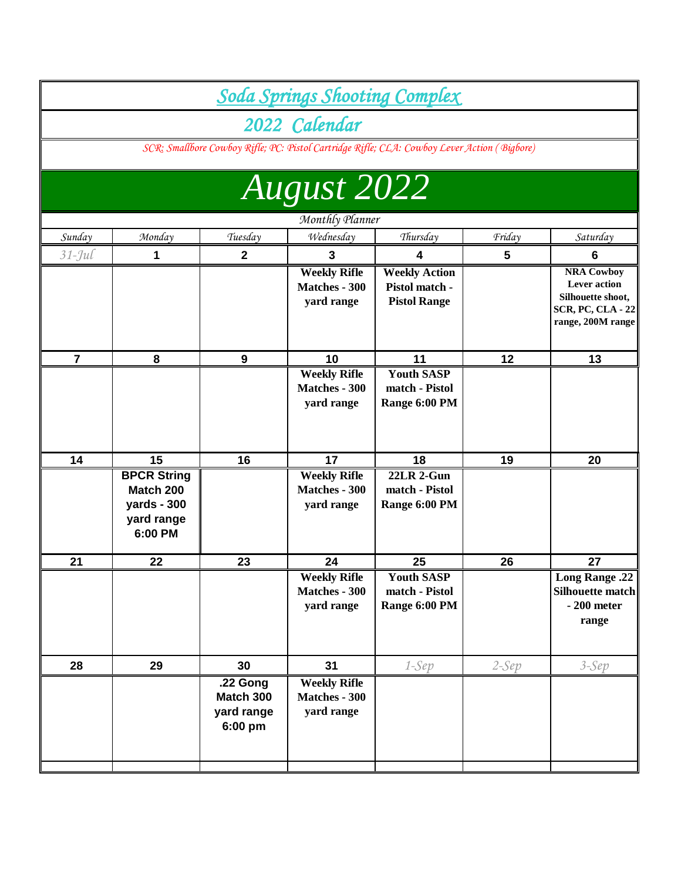|                |                                                                         |                                                |                                                           | Soda Springs Shooting Complex                                                               |         |                                                                                                                |
|----------------|-------------------------------------------------------------------------|------------------------------------------------|-----------------------------------------------------------|---------------------------------------------------------------------------------------------|---------|----------------------------------------------------------------------------------------------------------------|
|                |                                                                         |                                                |                                                           |                                                                                             |         |                                                                                                                |
|                |                                                                         |                                                | 2022 Calendar                                             |                                                                                             |         |                                                                                                                |
|                |                                                                         |                                                |                                                           | SCR: Smallbore Cowboy Rifle; PC: Pistol Cartridge Rifle; CLA: Cowboy Lever Action (Bigbore) |         |                                                                                                                |
|                |                                                                         |                                                |                                                           |                                                                                             |         |                                                                                                                |
|                |                                                                         |                                                | <b>August 2022</b>                                        |                                                                                             |         |                                                                                                                |
|                |                                                                         |                                                | Monthly Planner                                           |                                                                                             |         |                                                                                                                |
| Sunday         | Monday                                                                  | Tuesday                                        | Wednesday                                                 | Thursday                                                                                    | Friday  | Saturday                                                                                                       |
| $31$ -Jul      | 1                                                                       | $\overline{2}$                                 | 3                                                         | 4                                                                                           | 5       | 6                                                                                                              |
|                |                                                                         |                                                | <b>Weekly Rifle</b><br><b>Matches - 300</b><br>yard range | <b>Weekly Action</b><br>Pistol match -<br><b>Pistol Range</b>                               |         | <b>NRA Cowboy</b><br><b>Lever</b> action<br>Silhouette shoot,<br><b>SCR, PC, CLA - 22</b><br>range, 200M range |
| $\overline{7}$ | 8                                                                       | 9                                              | 10                                                        | 11                                                                                          | 12      | 13                                                                                                             |
|                |                                                                         |                                                | <b>Weekly Rifle</b><br>Matches - 300<br>yard range        | <b>Youth SASP</b><br>match - Pistol<br>Range 6:00 PM                                        |         |                                                                                                                |
| 14             | 15                                                                      | 16                                             | 17                                                        | 18                                                                                          | 19      | 20                                                                                                             |
|                | <b>BPCR String</b><br>Match 200<br>yards - 300<br>yard range<br>6:00 PM |                                                | <b>Weekly Rifle</b><br>Matches - 300<br>yard range        | <b>22LR 2-Gun</b><br>match - Pistol<br>Range 6:00 PM                                        |         |                                                                                                                |
| 21             | 22                                                                      | 23                                             | 24                                                        | 25                                                                                          | 26      | 27                                                                                                             |
|                |                                                                         |                                                | <b>Weekly Rifle</b><br>Matches - 300<br>yard range        | Youth SASP<br>match - Pistol<br>Range 6:00 PM                                               |         | <b>Long Range .22</b><br>Silhouette match<br>$-200$ meter<br>range                                             |
| 28             | 29                                                                      | 30                                             | 31                                                        | $1-Sep$                                                                                     | $2-Sep$ | $3-Sep$                                                                                                        |
|                |                                                                         | .22 Gong<br>Match 300<br>yard range<br>6:00 pm | <b>Weekly Rifle</b><br>Matches - 300<br>yard range        |                                                                                             |         |                                                                                                                |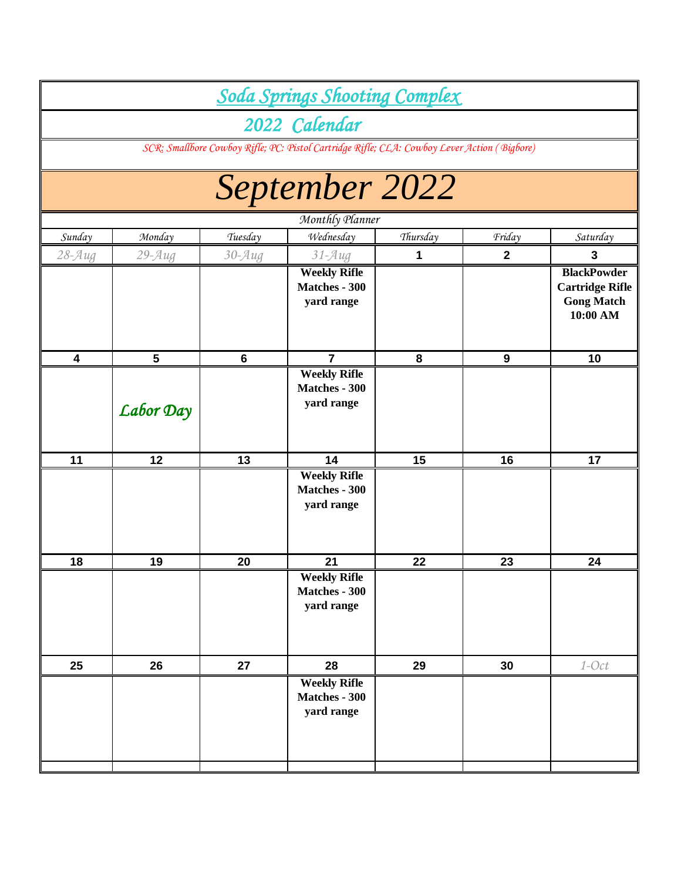|                         |                |                       | <b>Soda Springs Shooting Complex</b>                                                        |          |              |                                                                               |
|-------------------------|----------------|-----------------------|---------------------------------------------------------------------------------------------|----------|--------------|-------------------------------------------------------------------------------|
|                         |                |                       | 2022 Calendar                                                                               |          |              |                                                                               |
|                         |                |                       | SCR: Smallbore Cowboy Rifle; PC: Pistol Cartridge Rifle; CLA: Cowboy Lever Action (Bigbore) |          |              |                                                                               |
|                         |                |                       | September 2022                                                                              |          |              |                                                                               |
|                         |                |                       | Monthly Planner                                                                             |          |              |                                                                               |
| Sunday                  | Monday         | Tuesday               | Wednesday                                                                                   | Thursday | Friday       | Saturday                                                                      |
| $28 - \mathcal{A} uq$   | $29 - Aug$     | $30 - \mathcal{A} uq$ | $31 - Aug$                                                                                  | 1        | $\mathbf{2}$ | 3                                                                             |
|                         |                |                       | <b>Weekly Rifle</b><br>Matches - 300<br>yard range                                          |          |              | <b>BlackPowder</b><br><b>Cartridge Rifle</b><br><b>Gong Match</b><br>10:00 AM |
| $\overline{\mathbf{4}}$ | $5\phantom{1}$ | $6\phantom{1}6$       | $\overline{\mathbf{7}}$                                                                     | 8        | 9            | 10                                                                            |
|                         | Labor Day      |                       | <b>Weekly Rifle</b><br><b>Matches - 300</b><br>yard range                                   |          |              |                                                                               |
| 11                      | 12             | 13                    | 14                                                                                          | 15       | 16           | 17                                                                            |
|                         |                |                       | <b>Weekly Rifle</b><br><b>Matches - 300</b><br>yard range                                   |          |              |                                                                               |
| 18                      | 19             | 20                    | 21                                                                                          | 22       | 23           | 24                                                                            |
|                         |                |                       | <b>Weekly Rifle</b><br><b>Matches - 300</b><br>yard range                                   |          |              |                                                                               |
| 25                      | 26             | 27                    | 28                                                                                          | 29       | 30           | $1$ -Oct                                                                      |
|                         |                |                       | <b>Weekly Rifle</b><br>Matches - 300<br>yard range                                          |          |              |                                                                               |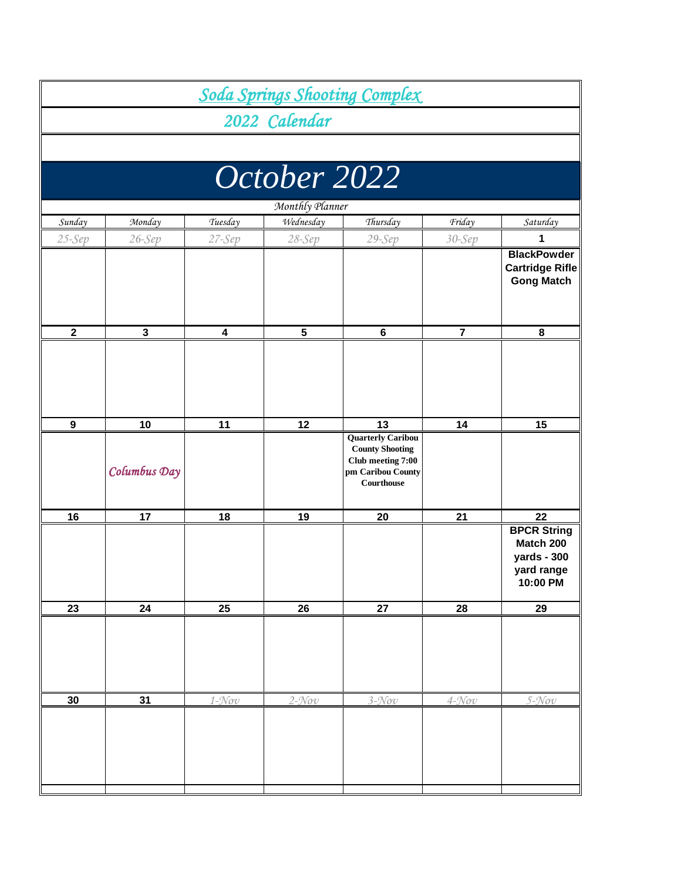|                  |                 |           |                   | <b>Soda Springs Shooting Complex</b>                                                  |                   |                                                                          |  |  |  |  |
|------------------|-----------------|-----------|-------------------|---------------------------------------------------------------------------------------|-------------------|--------------------------------------------------------------------------|--|--|--|--|
|                  |                 |           | 2022 Calendar     |                                                                                       |                   |                                                                          |  |  |  |  |
|                  |                 |           |                   |                                                                                       |                   |                                                                          |  |  |  |  |
|                  |                 |           | October 2022      |                                                                                       |                   |                                                                          |  |  |  |  |
|                  | Monthly Planner |           |                   |                                                                                       |                   |                                                                          |  |  |  |  |
| Sunday           | Monday          | Tuesday   | Wednesday         | Thursday                                                                              | Friday            | Saturday                                                                 |  |  |  |  |
| $25-Sep$         | $26-Sep$        | $27-Sep$  | $28-Sep$          | 29-Sep                                                                                | $30-Sep$          | 1                                                                        |  |  |  |  |
|                  |                 |           |                   |                                                                                       |                   | <b>BlackPowder</b><br><b>Cartridge Rifle</b><br><b>Gong Match</b>        |  |  |  |  |
| $\mathbf 2$      | $\mathbf 3$     | 4         | 5                 | $\bf 6$                                                                               | $\overline{7}$    | 8                                                                        |  |  |  |  |
|                  |                 |           |                   |                                                                                       |                   |                                                                          |  |  |  |  |
| $\boldsymbol{9}$ | 10              | 11        | 12                | 13<br><b>Quarterly Caribou</b>                                                        | 14                | 15                                                                       |  |  |  |  |
|                  | Columbus Day    |           |                   | <b>County Shooting</b><br>Club meeting 7:00<br>pm Caribou County<br><b>Courthouse</b> |                   |                                                                          |  |  |  |  |
| 16               | 17              | 18        | 19                | 20                                                                                    | 21                | 22                                                                       |  |  |  |  |
|                  |                 |           |                   |                                                                                       |                   | <b>BPCR String</b><br>Match 200<br>yards - 300<br>yard range<br>10:00 PM |  |  |  |  |
| 23               | 24              | 25        | 26                | ${\bf 27}$                                                                            | 28                | 29                                                                       |  |  |  |  |
|                  |                 |           |                   |                                                                                       |                   |                                                                          |  |  |  |  |
| 30               | $\overline{31}$ | $1 - Nov$ | $2-\mathcal{N}ov$ | $3 - Nov$                                                                             | $4-\mathcal{N}ov$ | $5 - Nov$                                                                |  |  |  |  |
|                  |                 |           |                   |                                                                                       |                   |                                                                          |  |  |  |  |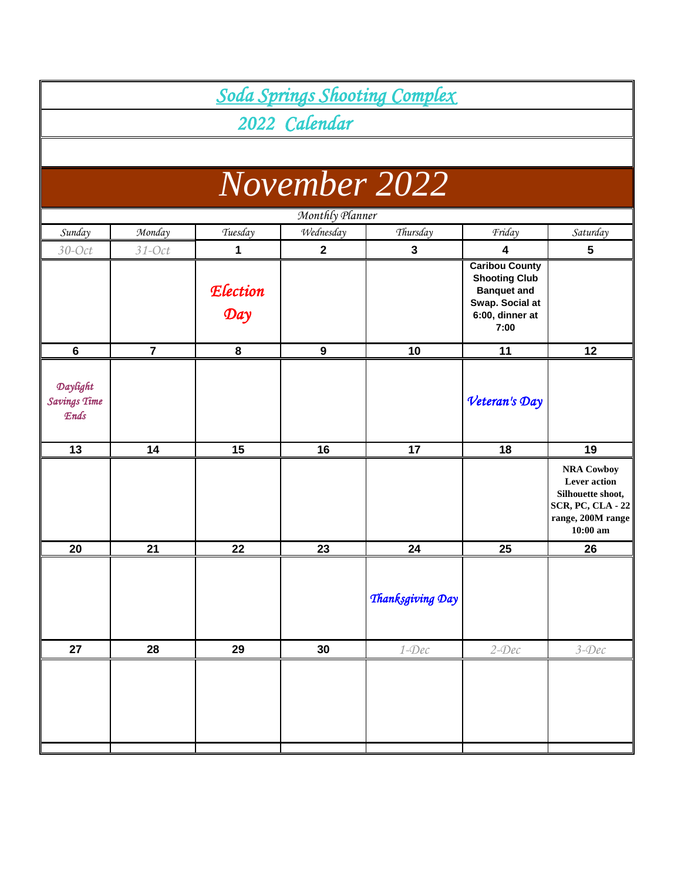|                                         |                |                        |                  | Soda Springs Shooting Complex |                                                                                                                   |                                                                                                                              |
|-----------------------------------------|----------------|------------------------|------------------|-------------------------------|-------------------------------------------------------------------------------------------------------------------|------------------------------------------------------------------------------------------------------------------------------|
|                                         |                |                        | 2022 Calendar    |                               |                                                                                                                   |                                                                                                                              |
|                                         |                |                        |                  |                               |                                                                                                                   |                                                                                                                              |
|                                         |                |                        |                  |                               |                                                                                                                   |                                                                                                                              |
|                                         |                |                        |                  | November 2022                 |                                                                                                                   |                                                                                                                              |
|                                         |                |                        | Monthly Planner  |                               |                                                                                                                   |                                                                                                                              |
| Sunday                                  | Monday         | Tuesday                | Wednesday        | Thursday                      | Friday                                                                                                            | Saturday                                                                                                                     |
| $30$ -Oct                               | $31$ -Oct      | 1                      | $\mathbf{2}$     | 3                             | $\overline{\mathbf{4}}$                                                                                           | 5                                                                                                                            |
|                                         |                | <b>Election</b><br>Day |                  |                               | <b>Caribou County</b><br><b>Shooting Club</b><br><b>Banquet and</b><br>Swap. Social at<br>6:00, dinner at<br>7:00 |                                                                                                                              |
| $6\phantom{1}$                          | $\overline{7}$ | 8                      | $\boldsymbol{9}$ | 10                            | 11                                                                                                                | 12                                                                                                                           |
| Daylight<br><b>Savings Time</b><br>Ends |                |                        |                  |                               | Veteran's Day                                                                                                     |                                                                                                                              |
| 13                                      | 14             | 15                     | 16               | 17                            | 18                                                                                                                | 19                                                                                                                           |
|                                         |                |                        |                  |                               |                                                                                                                   | <b>NRA Cowboy</b><br><b>Lever</b> action<br>Silhouette shoot,<br><b>SCR, PC, CLA - 22</b><br>range, 200M range<br>$10:00$ am |
| 20                                      | 21             | 22                     | 23               | 24                            | 25                                                                                                                | 26                                                                                                                           |
|                                         |                |                        |                  | Thanksgiving Day              |                                                                                                                   |                                                                                                                              |
| 27                                      | 28             | 29                     | 30               | $1 - Dec$                     | $2$ -Dec                                                                                                          | $3 - Dec$                                                                                                                    |
|                                         |                |                        |                  |                               |                                                                                                                   |                                                                                                                              |